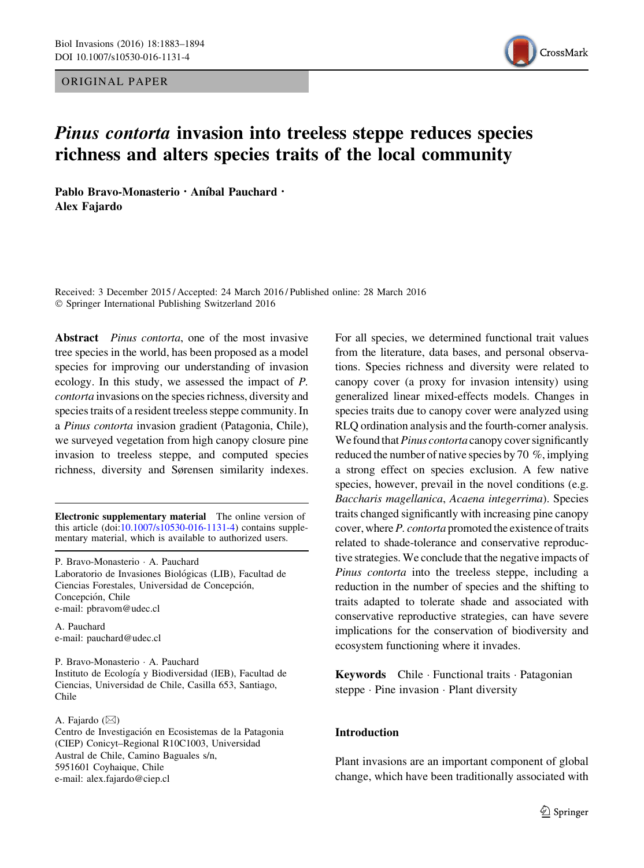ORIGINAL PAPER



# Pinus contorta invasion into treeless steppe reduces species richness and alters species traits of the local community

Pablo Bravo-Monasterio · Aníbal Pauchard · Alex Fajardo

Received: 3 December 2015 / Accepted: 24 March 2016 / Published online: 28 March 2016 - Springer International Publishing Switzerland 2016

Abstract Pinus contorta, one of the most invasive tree species in the world, has been proposed as a model species for improving our understanding of invasion ecology. In this study, we assessed the impact of P. contorta invasions on the species richness, diversity and species traits of a resident treeless steppe community. In a Pinus contorta invasion gradient (Patagonia, Chile), we surveyed vegetation from high canopy closure pine invasion to treeless steppe, and computed species richness, diversity and Sørensen similarity indexes.

Electronic supplementary material The online version of this article (doi[:10.1007/s10530-016-1131-4\)](http://dx.doi.org/10.1007/s10530-016-1131-4) contains supplementary material, which is available to authorized users.

P. Bravo-Monasterio - A. Pauchard Laboratorio de Invasiones Biológicas (LIB), Facultad de Ciencias Forestales, Universidad de Concepción, Concepción, Chile e-mail: pbravom@udec.cl

A. Pauchard e-mail: pauchard@udec.cl

P. Bravo-Monasterio - A. Pauchard Instituto de Ecología y Biodiversidad (IEB), Facultad de Ciencias, Universidad de Chile, Casilla 653, Santiago, Chile

A. Fajardo  $(\boxtimes)$ Centro de Investigación en Ecosistemas de la Patagonia (CIEP) Conicyt–Regional R10C1003, Universidad Austral de Chile, Camino Baguales s/n, 5951601 Coyhaique, Chile e-mail: alex.fajardo@ciep.cl

For all species, we determined functional trait values from the literature, data bases, and personal observations. Species richness and diversity were related to canopy cover (a proxy for invasion intensity) using generalized linear mixed-effects models. Changes in species traits due to canopy cover were analyzed using RLQ ordination analysis and the fourth-corner analysis. We found that Pinus contorta canopy cover significantly reduced the number of native species by 70 %, implying a strong effect on species exclusion. A few native species, however, prevail in the novel conditions (e.g. Baccharis magellanica, Acaena integerrima). Species traits changed significantly with increasing pine canopy cover, where *P. contorta* promoted the existence of traits related to shade-tolerance and conservative reproductive strategies. We conclude that the negative impacts of Pinus contorta into the treeless steppe, including a reduction in the number of species and the shifting to traits adapted to tolerate shade and associated with conservative reproductive strategies, can have severe implications for the conservation of biodiversity and ecosystem functioning where it invades.

Keywords Chile · Functional traits · Patagonian steppe - Pine invasion - Plant diversity

# Introduction

Plant invasions are an important component of global change, which have been traditionally associated with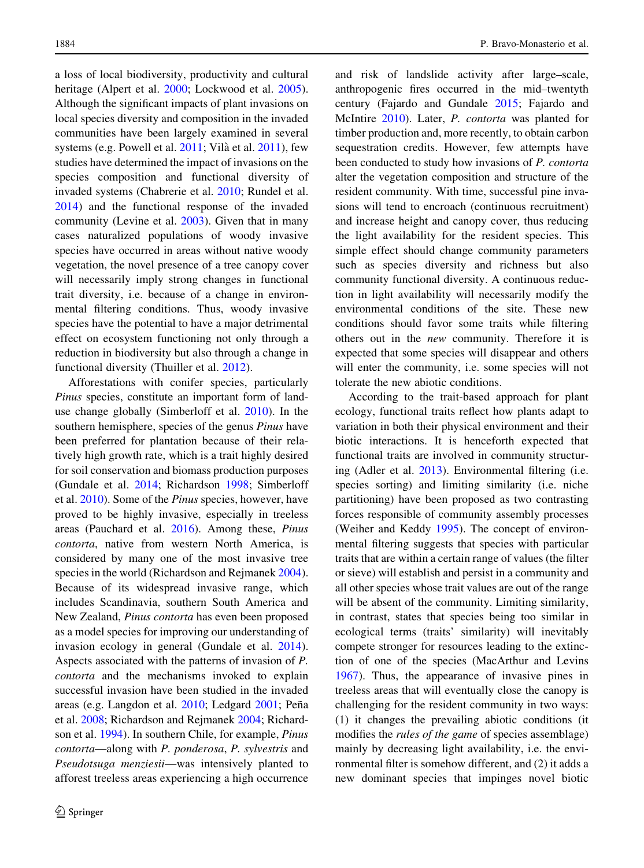a loss of local biodiversity, productivity and cultural heritage (Alpert et al. [2000](#page-9-0); Lockwood et al. [2005](#page-10-0)). Although the significant impacts of plant invasions on local species diversity and composition in the invaded communities have been largely examined in several systems (e.g. Powell et al.  $2011$ ; Vilà et al.  $2011$ ), few studies have determined the impact of invasions on the species composition and functional diversity of invaded systems (Chabrerie et al. [2010;](#page-10-0) Rundel et al. [2014\)](#page-11-0) and the functional response of the invaded community (Levine et al. [2003\)](#page-10-0). Given that in many cases naturalized populations of woody invasive species have occurred in areas without native woody vegetation, the novel presence of a tree canopy cover will necessarily imply strong changes in functional trait diversity, i.e. because of a change in environmental filtering conditions. Thus, woody invasive species have the potential to have a major detrimental effect on ecosystem functioning not only through a reduction in biodiversity but also through a change in functional diversity (Thuiller et al. [2012](#page-11-0)).

Afforestations with conifer species, particularly Pinus species, constitute an important form of landuse change globally (Simberloff et al. [2010](#page-11-0)). In the southern hemisphere, species of the genus Pinus have been preferred for plantation because of their relatively high growth rate, which is a trait highly desired for soil conservation and biomass production purposes (Gundale et al. [2014](#page-10-0); Richardson [1998;](#page-10-0) Simberloff et al. [2010](#page-11-0)). Some of the Pinus species, however, have proved to be highly invasive, especially in treeless areas (Pauchard et al. [2016](#page-10-0)). Among these, Pinus contorta, native from western North America, is considered by many one of the most invasive tree species in the world (Richardson and Rejmanek [2004](#page-11-0)). Because of its widespread invasive range, which includes Scandinavia, southern South America and New Zealand, Pinus contorta has even been proposed as a model species for improving our understanding of invasion ecology in general (Gundale et al. [2014](#page-10-0)). Aspects associated with the patterns of invasion of P. contorta and the mechanisms invoked to explain successful invasion have been studied in the invaded areas (e.g. Langdon et al. [2010](#page-10-0); Ledgard [2001;](#page-10-0) Peña et al. [2008;](#page-10-0) Richardson and Rejmanek [2004;](#page-11-0) Richardson et al. [1994\)](#page-11-0). In southern Chile, for example, Pinus contorta—along with P. ponderosa, P. sylvestris and Pseudotsuga menziesii—was intensively planted to afforest treeless areas experiencing a high occurrence

and risk of landslide activity after large–scale, anthropogenic fires occurred in the mid–twentyth century (Fajardo and Gundale [2015;](#page-10-0) Fajardo and McIntire [2010](#page-10-0)). Later, P. contorta was planted for timber production and, more recently, to obtain carbon sequestration credits. However, few attempts have been conducted to study how invasions of P. contorta alter the vegetation composition and structure of the resident community. With time, successful pine invasions will tend to encroach (continuous recruitment) and increase height and canopy cover, thus reducing the light availability for the resident species. This simple effect should change community parameters such as species diversity and richness but also community functional diversity. A continuous reduction in light availability will necessarily modify the environmental conditions of the site. These new conditions should favor some traits while filtering others out in the new community. Therefore it is expected that some species will disappear and others will enter the community, *i.e.* some species will not tolerate the new abiotic conditions.

According to the trait-based approach for plant ecology, functional traits reflect how plants adapt to variation in both their physical environment and their biotic interactions. It is henceforth expected that functional traits are involved in community structuring (Adler et al. [2013](#page-9-0)). Environmental filtering (i.e. species sorting) and limiting similarity (i.e. niche partitioning) have been proposed as two contrasting forces responsible of community assembly processes (Weiher and Keddy [1995](#page-11-0)). The concept of environmental filtering suggests that species with particular traits that are within a certain range of values (the filter or sieve) will establish and persist in a community and all other species whose trait values are out of the range will be absent of the community. Limiting similarity, in contrast, states that species being too similar in ecological terms (traits' similarity) will inevitably compete stronger for resources leading to the extinction of one of the species (MacArthur and Levins [1967\)](#page-10-0). Thus, the appearance of invasive pines in treeless areas that will eventually close the canopy is challenging for the resident community in two ways: (1) it changes the prevailing abiotic conditions (it modifies the rules of the game of species assemblage) mainly by decreasing light availability, i.e. the environmental filter is somehow different, and (2) it adds a new dominant species that impinges novel biotic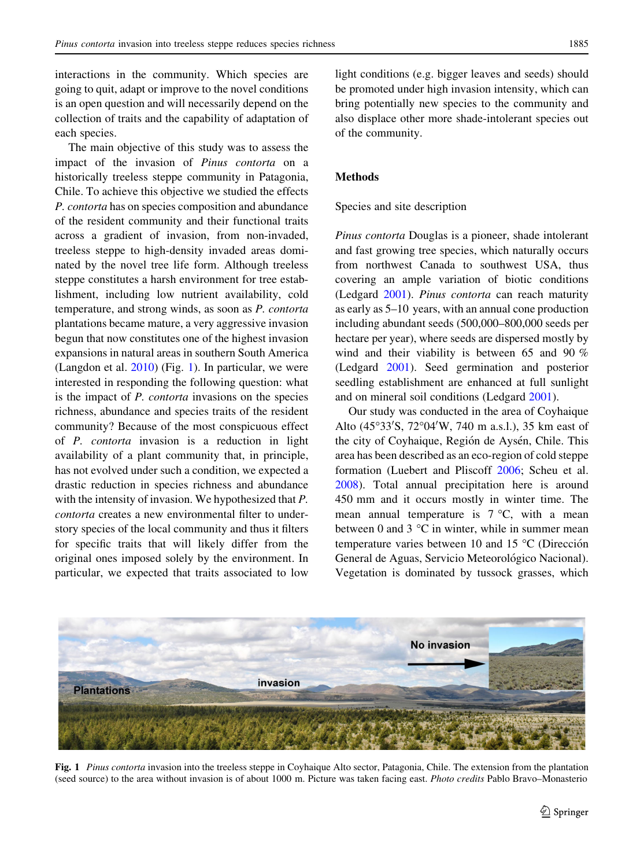<span id="page-2-0"></span>interactions in the community. Which species are going to quit, adapt or improve to the novel conditions is an open question and will necessarily depend on the collection of traits and the capability of adaptation of each species.

The main objective of this study was to assess the impact of the invasion of Pinus contorta on a historically treeless steppe community in Patagonia, Chile. To achieve this objective we studied the effects P. contorta has on species composition and abundance of the resident community and their functional traits across a gradient of invasion, from non-invaded, treeless steppe to high-density invaded areas dominated by the novel tree life form. Although treeless steppe constitutes a harsh environment for tree establishment, including low nutrient availability, cold temperature, and strong winds, as soon as P. contorta plantations became mature, a very aggressive invasion begun that now constitutes one of the highest invasion expansions in natural areas in southern South America (Langdon et al. [2010](#page-10-0)) (Fig. 1). In particular, we were interested in responding the following question: what is the impact of P. contorta invasions on the species richness, abundance and species traits of the resident community? Because of the most conspicuous effect of P. contorta invasion is a reduction in light availability of a plant community that, in principle, has not evolved under such a condition, we expected a drastic reduction in species richness and abundance with the intensity of invasion. We hypothesized that P. contorta creates a new environmental filter to understory species of the local community and thus it filters for specific traits that will likely differ from the original ones imposed solely by the environment. In particular, we expected that traits associated to low

light conditions (e.g. bigger leaves and seeds) should be promoted under high invasion intensity, which can bring potentially new species to the community and also displace other more shade-intolerant species out of the community.

# Methods

#### Species and site description

Pinus contorta Douglas is a pioneer, shade intolerant and fast growing tree species, which naturally occurs from northwest Canada to southwest USA, thus covering an ample variation of biotic conditions (Ledgard [2001\)](#page-10-0). Pinus contorta can reach maturity as early as 5–10 years, with an annual cone production including abundant seeds (500,000–800,000 seeds per hectare per year), where seeds are dispersed mostly by wind and their viability is between 65 and 90 % (Ledgard [2001\)](#page-10-0). Seed germination and posterior seedling establishment are enhanced at full sunlight and on mineral soil conditions (Ledgard [2001\)](#page-10-0).

Our study was conducted in the area of Coyhaique Alto (45°33'S, 72°04'W, 740 m a.s.l.), 35 km east of the city of Coyhaique, Región de Aysén, Chile. This area has been described as an eco-region of cold steppe formation (Luebert and Pliscoff [2006](#page-10-0); Scheu et al. [2008\)](#page-11-0). Total annual precipitation here is around 450 mm and it occurs mostly in winter time. The mean annual temperature is  $7^{\circ}$ C, with a mean between 0 and 3  $\degree$ C in winter, while in summer mean temperature varies between 10 and 15  $^{\circ}$ C (Dirección General de Aguas, Servicio Meteorológico Nacional). Vegetation is dominated by tussock grasses, which



Fig. 1 Pinus contorta invasion into the treeless steppe in Coyhaique Alto sector, Patagonia, Chile. The extension from the plantation (seed source) to the area without invasion is of about 1000 m. Picture was taken facing east. Photo credits Pablo Bravo–Monasterio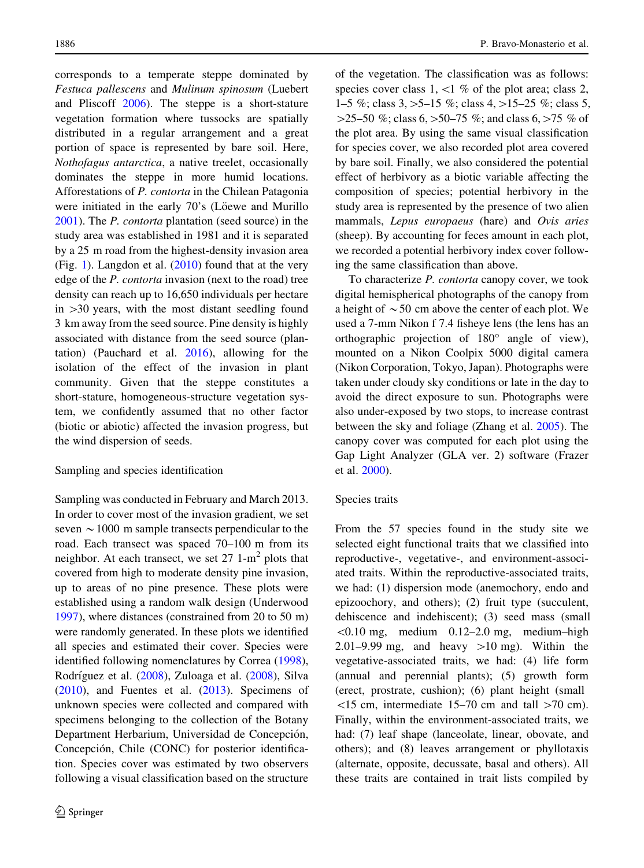corresponds to a temperate steppe dominated by Festuca pallescens and Mulinum spinosum (Luebert and Pliscoff [2006](#page-10-0)). The steppe is a short-stature vegetation formation where tussocks are spatially distributed in a regular arrangement and a great portion of space is represented by bare soil. Here, Nothofagus antarctica, a native treelet, occasionally dominates the steppe in more humid locations. Afforestations of P. contorta in the Chilean Patagonia were initiated in the early 70's (Löewe and Murillo [2001\)](#page-10-0). The P. contorta plantation (seed source) in the study area was established in 1981 and it is separated by a 25 m road from the highest-density invasion area (Fig. [1](#page-2-0)). Langdon et al.  $(2010)$  $(2010)$  found that at the very edge of the P. contorta invasion (next to the road) tree density can reach up to 16,650 individuals per hectare in  $>30$  years, with the most distant seedling found 3 km away from the seed source. Pine density is highly associated with distance from the seed source (plantation) (Pauchard et al. [2016](#page-10-0)), allowing for the isolation of the effect of the invasion in plant community. Given that the steppe constitutes a short-stature, homogeneous-structure vegetation system, we confidently assumed that no other factor (biotic or abiotic) affected the invasion progress, but the wind dispersion of seeds.

## Sampling and species identification

Sampling was conducted in February and March 2013. In order to cover most of the invasion gradient, we set seven  $\sim$  1000 m sample transects perpendicular to the road. Each transect was spaced 70–100 m from its neighbor. At each transect, we set  $27 \text{ 1-m}^2$  plots that covered from high to moderate density pine invasion, up to areas of no pine presence. These plots were established using a random walk design (Underwood [1997\)](#page-11-0), where distances (constrained from 20 to 50 m) were randomly generated. In these plots we identified all species and estimated their cover. Species were identified following nomenclatures by Correa [\(1998](#page-10-0)), Rodríguez et al. [\(2008](#page-11-0)), Zuloaga et al. (2008), Silva [\(2010](#page-11-0)), and Fuentes et al. [\(2013](#page-10-0)). Specimens of unknown species were collected and compared with specimens belonging to the collection of the Botany Department Herbarium, Universidad de Concepción, Concepción, Chile (CONC) for posterior identification. Species cover was estimated by two observers following a visual classification based on the structure

of the vegetation. The classification was as follows: species cover class  $1, \langle 1 \rangle$  % of the plot area; class 2, 1–5 %; class 3,  $>5$ –15 %; class 4,  $>15$ –25 %; class 5,  $>25-50$  %; class 6,  $>50-75$  %; and class 6,  $>75$  % of the plot area. By using the same visual classification for species cover, we also recorded plot area covered by bare soil. Finally, we also considered the potential effect of herbivory as a biotic variable affecting the composition of species; potential herbivory in the study area is represented by the presence of two alien mammals, Lepus europaeus (hare) and Ovis aries (sheep). By accounting for feces amount in each plot, we recorded a potential herbivory index cover following the same classification than above.

To characterize P. contorta canopy cover, we took digital hemispherical photographs of the canopy from a height of  $\sim$  50 cm above the center of each plot. We used a 7-mm Nikon f 7.4 fisheye lens (the lens has an orthographic projection of 180° angle of view), mounted on a Nikon Coolpix 5000 digital camera (Nikon Corporation, Tokyo, Japan). Photographs were taken under cloudy sky conditions or late in the day to avoid the direct exposure to sun. Photographs were also under-exposed by two stops, to increase contrast between the sky and foliage (Zhang et al. [2005\)](#page-11-0). The canopy cover was computed for each plot using the Gap Light Analyzer (GLA ver. 2) software (Frazer et al. [2000](#page-10-0)).

## Species traits

From the 57 species found in the study site we selected eight functional traits that we classified into reproductive-, vegetative-, and environment-associated traits. Within the reproductive-associated traits, we had: (1) dispersion mode (anemochory, endo and epizoochory, and others); (2) fruit type (succulent, dehiscence and indehiscent); (3) seed mass (small  $\leq 0.10$  mg, medium  $0.12-2.0$  mg, medium–high 2.01–9.99 mg, and heavy  $>10$  mg). Within the vegetative-associated traits, we had: (4) life form (annual and perennial plants); (5) growth form (erect, prostrate, cushion); (6) plant height (small  $15$  cm, intermediate 15–70 cm and tall  $>70$  cm). Finally, within the environment-associated traits, we had: (7) leaf shape (lanceolate, linear, obovate, and others); and (8) leaves arrangement or phyllotaxis (alternate, opposite, decussate, basal and others). All these traits are contained in trait lists compiled by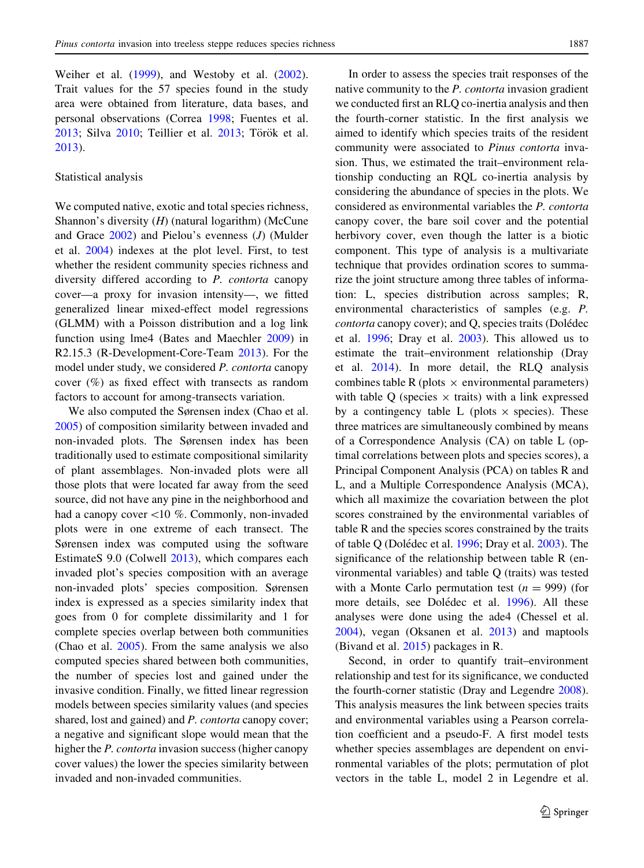Weiher et al. [\(1999](#page-11-0)), and Westoby et al. [\(2002](#page-11-0)). Trait values for the 57 species found in the study area were obtained from literature, data bases, and personal observations (Correa [1998](#page-10-0); Fuentes et al. [2013;](#page-10-0) Silva [2010;](#page-11-0) Teillier et al. [2013](#page-11-0); Török et al. [2013\)](#page-11-0).

#### Statistical analysis

We computed native, exotic and total species richness, Shannon's diversity  $(H)$  (natural logarithm) (McCune and Grace [2002\)](#page-10-0) and Pielou's evenness (J) (Mulder et al. [2004\)](#page-10-0) indexes at the plot level. First, to test whether the resident community species richness and diversity differed according to P. contorta canopy cover—a proxy for invasion intensity—, we fitted generalized linear mixed-effect model regressions (GLMM) with a Poisson distribution and a log link function using lme4 (Bates and Maechler [2009\)](#page-9-0) in R2.15.3 (R-Development-Core-Team [2013](#page-10-0)). For the model under study, we considered *P. contorta* canopy cover (%) as fixed effect with transects as random factors to account for among-transects variation.

We also computed the Sørensen index (Chao et al. [2005\)](#page-10-0) of composition similarity between invaded and non-invaded plots. The Sørensen index has been traditionally used to estimate compositional similarity of plant assemblages. Non-invaded plots were all those plots that were located far away from the seed source, did not have any pine in the neighborhood and had a canopy cover  $\langle 10 \, \%$ . Commonly, non-invadedplots were in one extreme of each transect. The Sørensen index was computed using the software EstimateS 9.0 (Colwell [2013](#page-10-0)), which compares each invaded plot's species composition with an average non-invaded plots' species composition. Sørensen index is expressed as a species similarity index that goes from 0 for complete dissimilarity and 1 for complete species overlap between both communities (Chao et al. [2005](#page-10-0)). From the same analysis we also computed species shared between both communities, the number of species lost and gained under the invasive condition. Finally, we fitted linear regression models between species similarity values (and species shared, lost and gained) and *P. contorta* canopy cover; a negative and significant slope would mean that the higher the *P. contorta* invasion success (higher canopy cover values) the lower the species similarity between invaded and non-invaded communities.

In order to assess the species trait responses of the native community to the P. contorta invasion gradient we conducted first an RLQ co-inertia analysis and then the fourth-corner statistic. In the first analysis we aimed to identify which species traits of the resident community were associated to Pinus contorta invasion. Thus, we estimated the trait–environment relationship conducting an RQL co-inertia analysis by considering the abundance of species in the plots. We considered as environmental variables the P. contorta canopy cover, the bare soil cover and the potential herbivory cover, even though the latter is a biotic component. This type of analysis is a multivariate technique that provides ordination scores to summarize the joint structure among three tables of information: L, species distribution across samples; R, environmental characteristics of samples (e.g. P.  $control$  canopy cover); and  $Q$ , species traits (Dolédec et al. [1996](#page-10-0); Dray et al. [2003\)](#page-10-0). This allowed us to estimate the trait–environment relationship (Dray et al. [2014\)](#page-10-0). In more detail, the RLQ analysis combines table R (plots  $\times$  environmental parameters) with table Q (species  $\times$  traits) with a link expressed by a contingency table L (plots  $\times$  species). These three matrices are simultaneously combined by means of a Correspondence Analysis (CA) on table L (optimal correlations between plots and species scores), a Principal Component Analysis (PCA) on tables R and L, and a Multiple Correspondence Analysis (MCA), which all maximize the covariation between the plot scores constrained by the environmental variables of table R and the species scores constrained by the traits of table Q (Dolédec et al. [1996;](#page-10-0) Dray et al. [2003\)](#page-10-0). The significance of the relationship between table R (environmental variables) and table Q (traits) was tested with a Monte Carlo permutation test  $(n = 999)$  (for more details, see Dolédec et al. [1996](#page-10-0)). All these analyses were done using the ade4 (Chessel et al. [2004\)](#page-10-0), vegan (Oksanen et al. [2013\)](#page-10-0) and maptools (Bivand et al. [2015](#page-9-0)) packages in R.

Second, in order to quantify trait–environment relationship and test for its significance, we conducted the fourth-corner statistic (Dray and Legendre [2008](#page-10-0)). This analysis measures the link between species traits and environmental variables using a Pearson correlation coefficient and a pseudo-F. A first model tests whether species assemblages are dependent on environmental variables of the plots; permutation of plot vectors in the table L, model 2 in Legendre et al.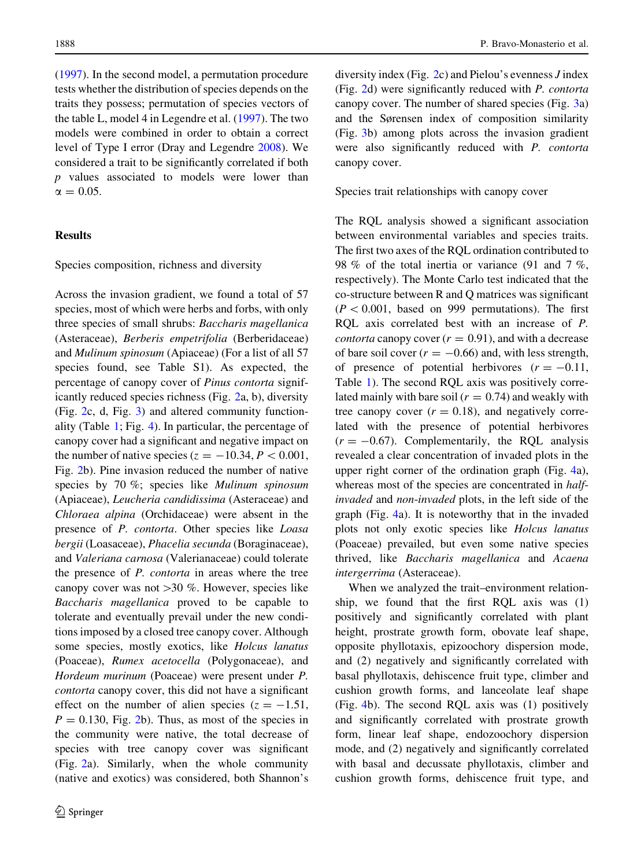<span id="page-5-0"></span>[\(1997](#page-10-0)). In the second model, a permutation procedure tests whether the distribution of species depends on the traits they possess; permutation of species vectors of the table L, model 4 in Legendre et al. ([1997\)](#page-10-0). The two models were combined in order to obtain a correct level of Type I error (Dray and Legendre [2008](#page-10-0)). We considered a trait to be significantly correlated if both p values associated to models were lower than  $\alpha = 0.05$ .

## Results

#### Species composition, richness and diversity

Across the invasion gradient, we found a total of 57 species, most of which were herbs and forbs, with only three species of small shrubs: Baccharis magellanica (Asteraceae), Berberis empetrifolia (Berberidaceae) and Mulinum spinosum (Apiaceae) (For a list of all 57 species found, see Table S1). As expected, the percentage of canopy cover of Pinus contorta significantly reduced species richness (Fig. [2a](#page-6-0), b), diversity (Fig. [2](#page-6-0)c, d, Fig. [3](#page-7-0)) and altered community functionality (Table [1;](#page-7-0) Fig. [4\)](#page-8-0). In particular, the percentage of canopy cover had a significant and negative impact on the number of native species ( $z = -10.34, P < 0.001$ , Fig. [2b](#page-6-0)). Pine invasion reduced the number of native species by 70 %; species like Mulinum spinosum (Apiaceae), Leucheria candidissima (Asteraceae) and Chloraea alpina (Orchidaceae) were absent in the presence of *P. contorta*. Other species like *Loasa* bergii (Loasaceae), Phacelia secunda (Boraginaceae), and Valeriana carnosa (Valerianaceae) could tolerate the presence of P. contorta in areas where the tree canopy cover was not  $>30$  %. However, species like Baccharis magellanica proved to be capable to tolerate and eventually prevail under the new conditions imposed by a closed tree canopy cover. Although some species, mostly exotics, like Holcus lanatus (Poaceae), Rumex acetocella (Polygonaceae), and Hordeum murinum (Poaceae) were present under P. contorta canopy cover, this did not have a significant effect on the number of alien species ( $z = -1.51$ ,  $P = 0.130$ , Fig. [2b](#page-6-0)). Thus, as most of the species in the community were native, the total decrease of species with tree canopy cover was significant (Fig. [2](#page-6-0)a). Similarly, when the whole community (native and exotics) was considered, both Shannon's

diversity index (Fig. [2](#page-6-0)c) and Pielou's evenness  $J$  index (Fig. [2](#page-6-0)d) were significantly reduced with P. contorta canopy cover. The number of shared species (Fig. [3](#page-7-0)a) and the Sørensen index of composition similarity (Fig. [3](#page-7-0)b) among plots across the invasion gradient were also significantly reduced with P. contorta canopy cover.

Species trait relationships with canopy cover

The RQL analysis showed a significant association between environmental variables and species traits. The first two axes of the RQL ordination contributed to 98 % of the total inertia or variance (91 and 7 %, respectively). The Monte Carlo test indicated that the co-structure between R and Q matrices was significant  $(P<0.001$ , based on 999 permutations). The first RQL axis correlated best with an increase of P. *contorta* canopy cover  $(r = 0.91)$ , and with a decrease of bare soil cover  $(r = -0.66)$  and, with less strength, of presence of potential herbivores  $(r = -0.11)$ , Table [1](#page-7-0)). The second RQL axis was positively correlated mainly with bare soil ( $r = 0.74$ ) and weakly with tree canopy cover  $(r = 0.18)$ , and negatively correlated with the presence of potential herbivores  $(r = -0.67)$ . Complementarily, the RQL analysis revealed a clear concentration of invaded plots in the upper right corner of the ordination graph (Fig. [4a](#page-8-0)), whereas most of the species are concentrated in halfinvaded and non-invaded plots, in the left side of the graph (Fig. [4a](#page-8-0)). It is noteworthy that in the invaded plots not only exotic species like Holcus lanatus (Poaceae) prevailed, but even some native species thrived, like Baccharis magellanica and Acaena intergerrima (Asteraceae).

When we analyzed the trait–environment relationship, we found that the first RQL axis was (1) positively and significantly correlated with plant height, prostrate growth form, obovate leaf shape, opposite phyllotaxis, epizoochory dispersion mode, and (2) negatively and significantly correlated with basal phyllotaxis, dehiscence fruit type, climber and cushion growth forms, and lanceolate leaf shape (Fig. [4](#page-8-0)b). The second RQL axis was (1) positively and significantly correlated with prostrate growth form, linear leaf shape, endozoochory dispersion mode, and (2) negatively and significantly correlated with basal and decussate phyllotaxis, climber and cushion growth forms, dehiscence fruit type, and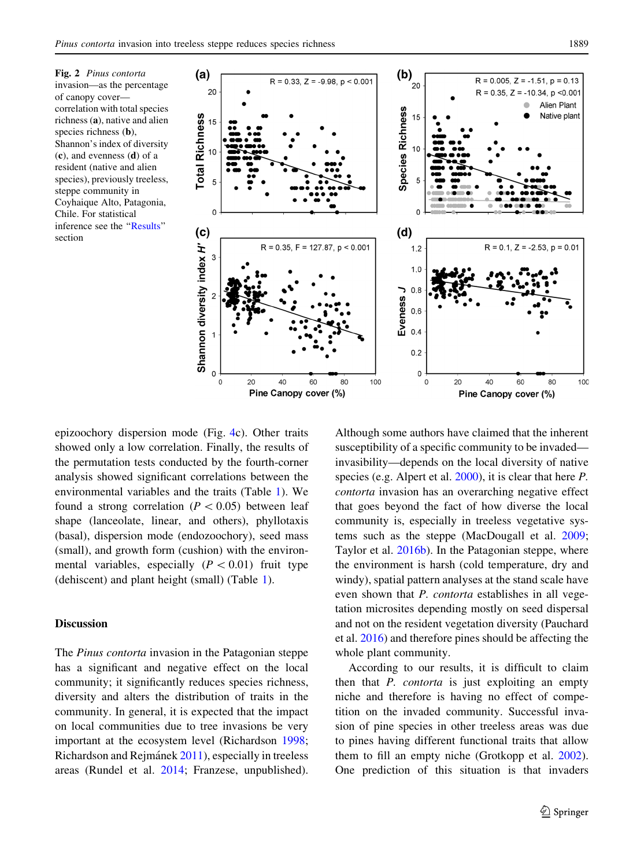<span id="page-6-0"></span>Fig. 2 Pinus contorta invasion—as the percentage of canopy cover correlation with total species richness (a), native and alien species richness (b), Shannon's index of diversity (c), and evenness (d) of a resident (native and alien species), previously treeless, steppe community in Coyhaique Alto, Patagonia, Chile. For statistical inference see the ''[Results](#page-5-0)'' section



epizoochory dispersion mode (Fig. [4](#page-8-0)c). Other traits showed only a low correlation. Finally, the results of the permutation tests conducted by the fourth-corner analysis showed significant correlations between the environmental variables and the traits (Table [1](#page-7-0)). We found a strong correlation ( $P < 0.05$ ) between leaf shape (lanceolate, linear, and others), phyllotaxis (basal), dispersion mode (endozoochory), seed mass (small), and growth form (cushion) with the environmental variables, especially  $(P < 0.01)$  fruit type (dehiscent) and plant height (small) (Table [1\)](#page-7-0).

# Discussion

The Pinus contorta invasion in the Patagonian steppe has a significant and negative effect on the local community; it significantly reduces species richness, diversity and alters the distribution of traits in the community. In general, it is expected that the impact on local communities due to tree invasions be very important at the ecosystem level (Richardson [1998](#page-10-0); Richardson and Rejmánek [2011\)](#page-11-0), especially in treeless areas (Rundel et al. [2014;](#page-11-0) Franzese, unpublished). Although some authors have claimed that the inherent susceptibility of a specific community to be invaded invasibility—depends on the local diversity of native species (e.g. Alpert et al. [2000\)](#page-9-0), it is clear that here *P*. contorta invasion has an overarching negative effect that goes beyond the fact of how diverse the local community is, especially in treeless vegetative systems such as the steppe (MacDougall et al. [2009](#page-10-0); Taylor et al. [2016b](#page-11-0)). In the Patagonian steppe, where the environment is harsh (cold temperature, dry and windy), spatial pattern analyses at the stand scale have even shown that P. contorta establishes in all vegetation microsites depending mostly on seed dispersal and not on the resident vegetation diversity (Pauchard et al. [2016](#page-10-0)) and therefore pines should be affecting the whole plant community.

According to our results, it is difficult to claim then that *P. contorta* is just exploiting an empty niche and therefore is having no effect of competition on the invaded community. Successful invasion of pine species in other treeless areas was due to pines having different functional traits that allow them to fill an empty niche (Grotkopp et al. [2002](#page-10-0)). One prediction of this situation is that invaders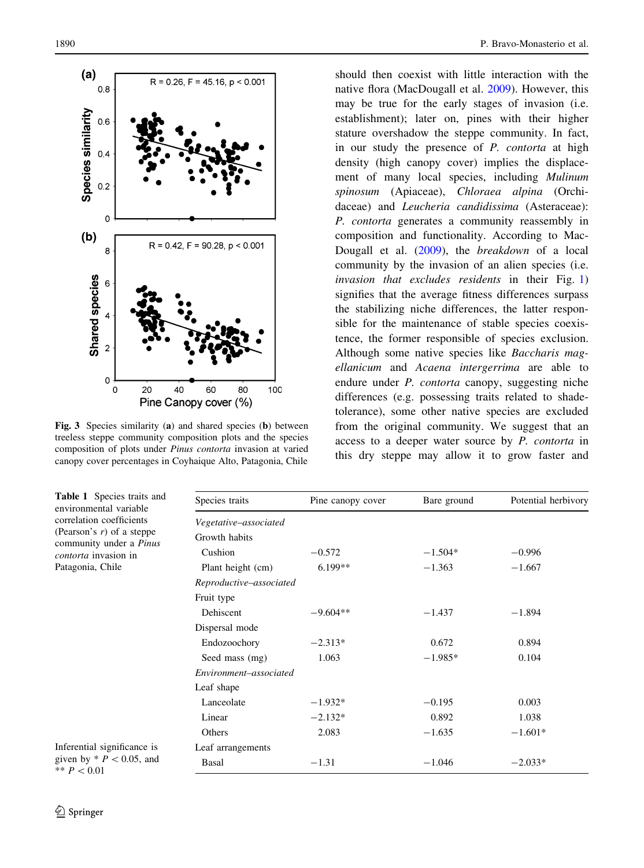

Fig. 3 Species similarity (a) and shared species (b) between treeless steppe community composition plots and the species composition of plots under Pinus contorta invasion at varied canopy cover percentages in Coyhaique Alto, Patagonia, Chile

<span id="page-7-0"></span>1890 P. Bravo-Monasterio et al.

should then coexist with little interaction with the native flora (MacDougall et al. [2009](#page-10-0)). However, this may be true for the early stages of invasion (i.e. establishment); later on, pines with their higher stature overshadow the steppe community. In fact, in our study the presence of *P. contorta* at high density (high canopy cover) implies the displacement of many local species, including Mulinum spinosum (Apiaceae), Chloraea alpina (Orchidaceae) and Leucheria candidissima (Asteraceae): P. contorta generates a community reassembly in composition and functionality. According to Mac-Dougall et al. ([2009](#page-10-0)), the breakdown of a local community by the invasion of an alien species (i.e. invasion that excludes residents in their Fig. [1\)](#page-2-0) signifies that the average fitness differences surpass the stabilizing niche differences, the latter responsible for the maintenance of stable species coexistence, the former responsible of species exclusion. Although some native species like Baccharis magellanicum and Acaena intergerrima are able to endure under P. contorta canopy, suggesting niche differences (e.g. possessing traits related to shadetolerance), some other native species are excluded from the original community. We suggest that an access to a deeper water source by P. contorta in this dry steppe may allow it to grow faster and

| <b>Table 1</b> Species traits and<br>environmental variable<br>correlation coefficients<br>(Pearson's $r$ ) of a steppe<br>community under a Pinus<br><i>contorta</i> invasion in<br>Patagonia, Chile | Species traits                         | Pine canopy cover | Bare ground | Potential herbivory |
|-------------------------------------------------------------------------------------------------------------------------------------------------------------------------------------------------------|----------------------------------------|-------------------|-------------|---------------------|
|                                                                                                                                                                                                       | Vegetative-associated<br>Growth habits |                   |             |                     |
|                                                                                                                                                                                                       | Cushion                                | $-0.572$          | $-1.504*$   | $-0.996$            |
|                                                                                                                                                                                                       | Plant height (cm)                      | $6.199**$         | $-1.363$    | $-1.667$            |
|                                                                                                                                                                                                       | Reproductive-associated                |                   |             |                     |
|                                                                                                                                                                                                       | Fruit type                             |                   |             |                     |
|                                                                                                                                                                                                       | Dehiscent                              | $-9.604**$        | $-1.437$    | $-1.894$            |
|                                                                                                                                                                                                       | Dispersal mode                         |                   |             |                     |
|                                                                                                                                                                                                       | Endozoochory                           | $-2.313*$         | 0.672       | 0.894               |
|                                                                                                                                                                                                       | Seed mass (mg)                         | 1.063             | $-1.985*$   | 0.104               |
|                                                                                                                                                                                                       | Environment–associated                 |                   |             |                     |
|                                                                                                                                                                                                       | Leaf shape                             |                   |             |                     |
|                                                                                                                                                                                                       | Lanceolate                             | $-1.932*$         | $-0.195$    | 0.003               |
|                                                                                                                                                                                                       | Linear                                 | $-2.132*$         | 0.892       | 1.038               |
|                                                                                                                                                                                                       | Others                                 | 2.083             | $-1.635$    | $-1.601*$           |
| Inferential significance is<br>given by $* P < 0.05$ , and<br>** $D > 0.01$                                                                                                                           | Leaf arrangements                      |                   |             |                     |
|                                                                                                                                                                                                       | Basal                                  | $-1.31$           | $-1.046$    | $-2.033*$           |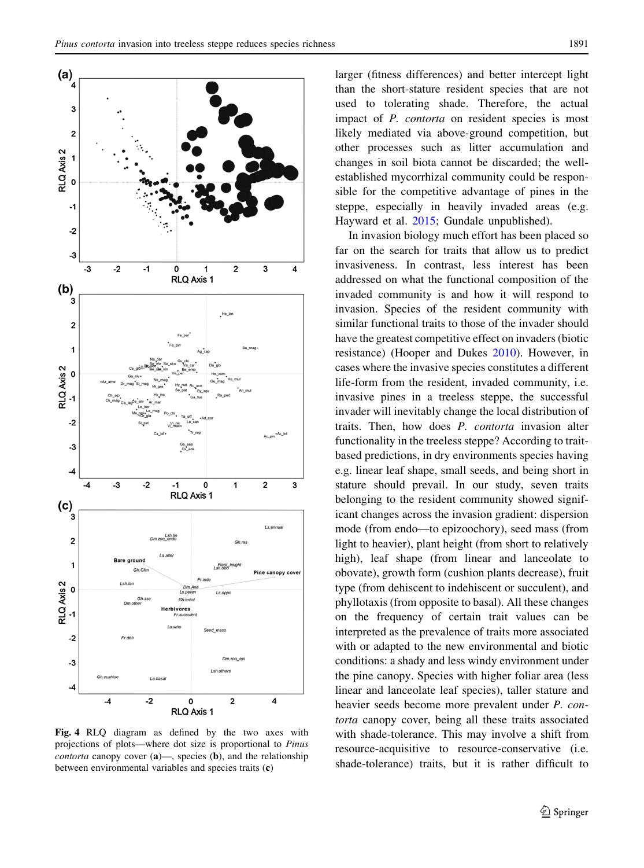<span id="page-8-0"></span>

Fig. 4 RLQ diagram as defined by the two axes with projections of plots—where dot size is proportional to Pinus *contorta* canopy cover  $(a)$ —, species  $(b)$ , and the relationship between environmental variables and species traits (c)

larger (fitness differences) and better intercept light than the short-stature resident species that are not used to tolerating shade. Therefore, the actual impact of P. contorta on resident species is most likely mediated via above-ground competition, but other processes such as litter accumulation and changes in soil biota cannot be discarded; the wellestablished mycorrhizal community could be responsible for the competitive advantage of pines in the steppe, especially in heavily invaded areas (e.g. Hayward et al. [2015](#page-10-0); Gundale unpublished).

In invasion biology much effort has been placed so far on the search for traits that allow us to predict invasiveness. In contrast, less interest has been addressed on what the functional composition of the invaded community is and how it will respond to invasion. Species of the resident community with similar functional traits to those of the invader should have the greatest competitive effect on invaders (biotic resistance) (Hooper and Dukes [2010\)](#page-10-0). However, in cases where the invasive species constitutes a different life-form from the resident, invaded community, i.e. invasive pines in a treeless steppe, the successful invader will inevitably change the local distribution of traits. Then, how does P. contorta invasion alter functionality in the treeless steppe? According to traitbased predictions, in dry environments species having e.g. linear leaf shape, small seeds, and being short in stature should prevail. In our study, seven traits belonging to the resident community showed significant changes across the invasion gradient: dispersion mode (from endo—to epizoochory), seed mass (from light to heavier), plant height (from short to relatively high), leaf shape (from linear and lanceolate to obovate), growth form (cushion plants decrease), fruit type (from dehiscent to indehiscent or succulent), and phyllotaxis (from opposite to basal). All these changes on the frequency of certain trait values can be interpreted as the prevalence of traits more associated with or adapted to the new environmental and biotic conditions: a shady and less windy environment under the pine canopy. Species with higher foliar area (less linear and lanceolate leaf species), taller stature and heavier seeds become more prevalent under P. contorta canopy cover, being all these traits associated with shade-tolerance. This may involve a shift from resource-acquisitive to resource-conservative (i.e. shade-tolerance) traits, but it is rather difficult to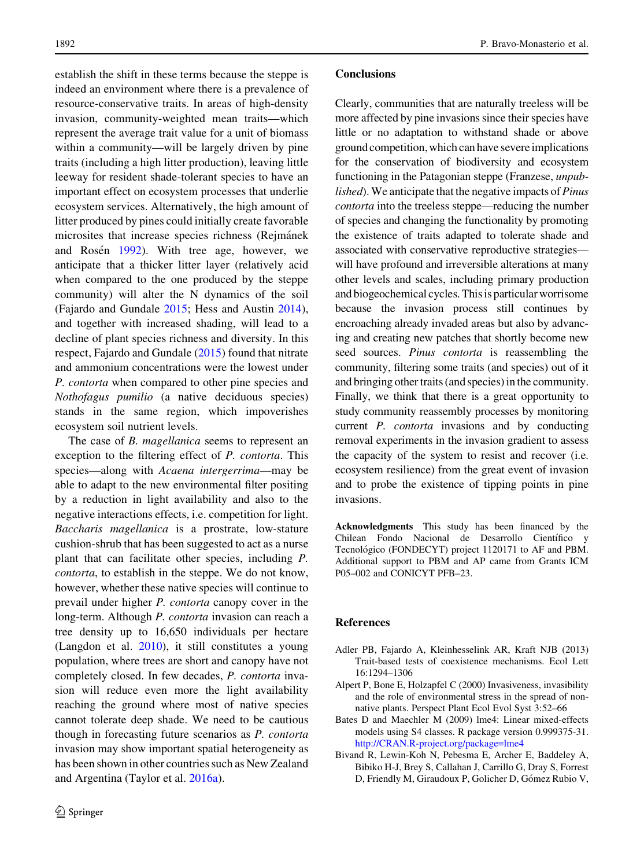<span id="page-9-0"></span>establish the shift in these terms because the steppe is indeed an environment where there is a prevalence of resource-conservative traits. In areas of high-density invasion, community-weighted mean traits—which represent the average trait value for a unit of biomass within a community—will be largely driven by pine traits (including a high litter production), leaving little leeway for resident shade-tolerant species to have an important effect on ecosystem processes that underlie ecosystem services. Alternatively, the high amount of litter produced by pines could initially create favorable microsites that increase species richness (Rejmánek and Rosén [1992](#page-10-0)). With tree age, however, we anticipate that a thicker litter layer (relatively acid when compared to the one produced by the steppe community) will alter the N dynamics of the soil (Fajardo and Gundale [2015](#page-10-0); Hess and Austin [2014](#page-10-0)), and together with increased shading, will lead to a decline of plant species richness and diversity. In this respect, Fajardo and Gundale [\(2015](#page-10-0)) found that nitrate and ammonium concentrations were the lowest under P. contorta when compared to other pine species and Nothofagus pumilio (a native deciduous species) stands in the same region, which impoverishes ecosystem soil nutrient levels.

The case of *B. magellanica* seems to represent an exception to the filtering effect of P. contorta. This species—along with Acaena intergerrima—may be able to adapt to the new environmental filter positing by a reduction in light availability and also to the negative interactions effects, i.e. competition for light. Baccharis magellanica is a prostrate, low-stature cushion-shrub that has been suggested to act as a nurse plant that can facilitate other species, including P. contorta, to establish in the steppe. We do not know, however, whether these native species will continue to prevail under higher P. contorta canopy cover in the long-term. Although P. contorta invasion can reach a tree density up to 16,650 individuals per hectare (Langdon et al. [2010\)](#page-10-0), it still constitutes a young population, where trees are short and canopy have not completely closed. In few decades, P. contorta invasion will reduce even more the light availability reaching the ground where most of native species cannot tolerate deep shade. We need to be cautious though in forecasting future scenarios as P. contorta invasion may show important spatial heterogeneity as has been shown in other countries such as New Zealand and Argentina (Taylor et al. [2016a](#page-11-0)).

## **Conclusions**

Clearly, communities that are naturally treeless will be more affected by pine invasions since their species have little or no adaptation to withstand shade or above ground competition, which can have severe implications for the conservation of biodiversity and ecosystem functioning in the Patagonian steppe (Franzese, unpub $lished$ ). We anticipate that the negative impacts of  $Pinus$ contorta into the treeless steppe—reducing the number of species and changing the functionality by promoting the existence of traits adapted to tolerate shade and associated with conservative reproductive strategies will have profound and irreversible alterations at many other levels and scales, including primary production and biogeochemical cycles. This is particular worrisome because the invasion process still continues by encroaching already invaded areas but also by advancing and creating new patches that shortly become new seed sources. Pinus contorta is reassembling the community, filtering some traits (and species) out of it and bringing other traits (and species) in the community. Finally, we think that there is a great opportunity to study community reassembly processes by monitoring current *P. contorta* invasions and by conducting removal experiments in the invasion gradient to assess the capacity of the system to resist and recover (i.e. ecosystem resilience) from the great event of invasion and to probe the existence of tipping points in pine invasions.

Acknowledgments This study has been financed by the Chilean Fondo Nacional de Desarrollo Científico y Tecnológico (FONDECYT) project 1120171 to AF and PBM. Additional support to PBM and AP came from Grants ICM P05–002 and CONICYT PFB–23.

#### References

- Adler PB, Fajardo A, Kleinhesselink AR, Kraft NJB (2013) Trait-based tests of coexistence mechanisms. Ecol Lett 16:1294–1306
- Alpert P, Bone E, Holzapfel C (2000) Invasiveness, invasibility and the role of environmental stress in the spread of nonnative plants. Perspect Plant Ecol Evol Syst 3:52–66
- Bates D and Maechler M (2009) lme4: Linear mixed-effects models using S4 classes. R package version 0.999375-31. [http://CRAN.R-project.org/package=lme4](http://CRAN.R-project.org/package%3dlme4)
- Bivand R, Lewin-Koh N, Pebesma E, Archer E, Baddeley A, Bibiko H-J, Brey S, Callahan J, Carrillo G, Dray S, Forrest D, Friendly M, Giraudoux P, Golicher D, Gómez Rubio V,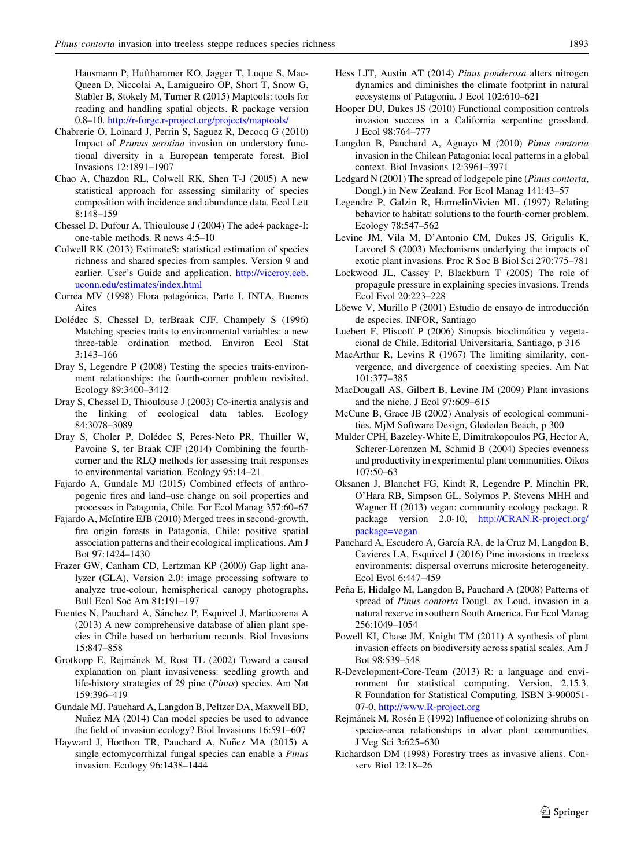<span id="page-10-0"></span>Hausmann P, Hufthammer KO, Jagger T, Luque S, Mac-Queen D, Niccolai A, Lamigueiro OP, Short T, Snow G, Stabler B, Stokely M, Turner R (2015) Maptools: tools for reading and handling spatial objects. R package version 0.8–10. <http://r-forge.r-project.org/projects/maptools/>

- Chabrerie O, Loinard J, Perrin S, Saguez R, Decocq G (2010) Impact of Prunus serotina invasion on understory functional diversity in a European temperate forest. Biol Invasions 12:1891–1907
- Chao A, Chazdon RL, Colwell RK, Shen T-J (2005) A new statistical approach for assessing similarity of species composition with incidence and abundance data. Ecol Lett 8:148–159
- Chessel D, Dufour A, Thioulouse J (2004) The ade4 package-I: one-table methods. R news 4:5–10
- Colwell RK (2013) EstimateS: statistical estimation of species richness and shared species from samples. Version 9 and earlier. User's Guide and application. [http://viceroy.eeb.](http://viceroy.eeb.uconn.edu/estimates/index.html) [uconn.edu/estimates/index.html](http://viceroy.eeb.uconn.edu/estimates/index.html)
- Correa MV (1998) Flora patagónica, Parte I. INTA, Buenos Aires
- Dolédec S, Chessel D, terBraak CJF, Champely S (1996) Matching species traits to environmental variables: a new three-table ordination method. Environ Ecol Stat 3:143–166
- Dray S, Legendre P (2008) Testing the species traits-environment relationships: the fourth-corner problem revisited. Ecology 89:3400–3412
- Dray S, Chessel D, Thioulouse J (2003) Co-inertia analysis and the linking of ecological data tables. Ecology 84:3078–3089
- Dray S, Choler P, Dolédec S, Peres-Neto PR, Thuiller W, Pavoine S, ter Braak CJF (2014) Combining the fourthcorner and the RLQ methods for assessing trait responses to environmental variation. Ecology 95:14–21
- Fajardo A, Gundale MJ (2015) Combined effects of anthropogenic fires and land–use change on soil properties and processes in Patagonia, Chile. For Ecol Manag 357:60–67
- Fajardo A, McIntire EJB (2010) Merged trees in second-growth, fire origin forests in Patagonia, Chile: positive spatial association patterns and their ecological implications. Am J Bot 97:1424–1430
- Frazer GW, Canham CD, Lertzman KP (2000) Gap light analyzer (GLA), Version 2.0: image processing software to analyze true-colour, hemispherical canopy photographs. Bull Ecol Soc Am 81:191–197
- Fuentes N, Pauchard A, Sánchez P, Esquivel J, Marticorena A (2013) A new comprehensive database of alien plant species in Chile based on herbarium records. Biol Invasions 15:847–858
- Grotkopp E, Rejmánek M, Rost TL (2002) Toward a causal explanation on plant invasiveness: seedling growth and life-history strategies of 29 pine (Pinus) species. Am Nat 159:396–419
- Gundale MJ, Pauchard A, Langdon B, Peltzer DA, Maxwell BD, Nuñez MA (2014) Can model species be used to advance the field of invasion ecology? Biol Invasions 16:591–607
- Hayward J, Horthon TR, Pauchard A, Nuñez MA (2015) A single ectomycorrhizal fungal species can enable a *Pinus* invasion. Ecology 96:1438–1444
- Hess LJT, Austin AT (2014) Pinus ponderosa alters nitrogen dynamics and diminishes the climate footprint in natural ecosystems of Patagonia. J Ecol 102:610–621
- Hooper DU, Dukes JS (2010) Functional composition controls invasion success in a California serpentine grassland. J Ecol 98:764–777
- Langdon B, Pauchard A, Aguayo M (2010) Pinus contorta invasion in the Chilean Patagonia: local patterns in a global context. Biol Invasions 12:3961–3971
- Ledgard N (2001) The spread of lodgepole pine (Pinus contorta, Dougl.) in New Zealand. For Ecol Manag 141:43–57
- Legendre P, Galzin R, HarmelinVivien ML (1997) Relating behavior to habitat: solutions to the fourth-corner problem. Ecology 78:547–562
- Levine JM, Vila M, D'Antonio CM, Dukes JS, Grigulis K, Lavorel S (2003) Mechanisms underlying the impacts of exotic plant invasions. Proc R Soc B Biol Sci 270:775–781
- Lockwood JL, Cassey P, Blackburn T (2005) The role of propagule pressure in explaining species invasions. Trends Ecol Evol 20:223–228
- Löewe V, Murillo P (2001) Estudio de ensayo de introducción de especies. INFOR, Santiago
- Luebert F, Pliscoff P (2006) Sinopsis bioclimática y vegetacional de Chile. Editorial Universitaria, Santiago, p 316
- MacArthur R, Levins R (1967) The limiting similarity, convergence, and divergence of coexisting species. Am Nat 101:377–385
- MacDougall AS, Gilbert B, Levine JM (2009) Plant invasions and the niche. J Ecol 97:609–615
- McCune B, Grace JB (2002) Analysis of ecological communities. MjM Software Design, Glededen Beach, p 300
- Mulder CPH, Bazeley-White E, Dimitrakopoulos PG, Hector A, Scherer-Lorenzen M, Schmid B (2004) Species evenness and productivity in experimental plant communities. Oikos 107:50–63
- Oksanen J, Blanchet FG, Kindt R, Legendre P, Minchin PR, O'Hara RB, Simpson GL, Solymos P, Stevens MHH and Wagner H (2013) vegan: community ecology package. R package version 2.0-10, [http://CRAN.R-project.org/](http://CRAN.R-project.org/package%3dvegan) [package=vegan](http://CRAN.R-project.org/package%3dvegan)
- Pauchard A, Escudero A, García RA, de la Cruz M, Langdon B, Cavieres LA, Esquivel J (2016) Pine invasions in treeless environments: dispersal overruns microsite heterogeneity. Ecol Evol 6:447–459
- Peña E, Hidalgo M, Langdon B, Pauchard A (2008) Patterns of spread of Pinus contorta Dougl. ex Loud. invasion in a natural reserve in southern South America. For Ecol Manag 256:1049–1054
- Powell KI, Chase JM, Knight TM (2011) A synthesis of plant invasion effects on biodiversity across spatial scales. Am J Bot 98:539–548
- R-Development-Core-Team (2013) R: a language and environment for statistical computing. Version, 2.15.3. R Foundation for Statistical Computing. ISBN 3-900051- 07-0, <http://www.R-project.org>
- Rejmánek M, Rosén E (1992) Influence of colonizing shrubs on species-area relationships in alvar plant communities. J Veg Sci 3:625–630
- Richardson DM (1998) Forestry trees as invasive aliens. Conserv Biol 12:18–26